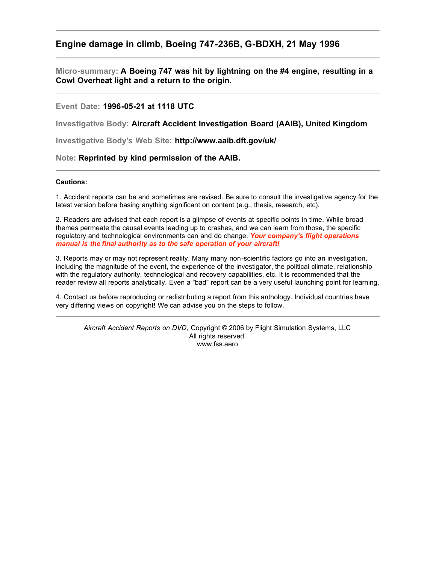### **Engine damage in climb, Boeing 747-236B, G-BDXH, 21 May 1996**

**Micro-summary: A Boeing 747 was hit by lightning on the #4 engine, resulting in a Cowl Overheat light and a return to the origin.**

#### **Event Date: 1996-05-21 at 1118 UTC**

**Investigative Body: Aircraft Accident Investigation Board (AAIB), United Kingdom**

**Investigative Body's Web Site: http://www.aaib.dft.gov/uk/**

#### **Note: Reprinted by kind permission of the AAIB.**

#### **Cautions:**

1. Accident reports can be and sometimes are revised. Be sure to consult the investigative agency for the latest version before basing anything significant on content (e.g., thesis, research, etc).

2. Readers are advised that each report is a glimpse of events at specific points in time. While broad themes permeate the causal events leading up to crashes, and we can learn from those, the specific regulatory and technological environments can and do change. *Your company's flight operations manual is the final authority as to the safe operation of your aircraft!*

3. Reports may or may not represent reality. Many many non-scientific factors go into an investigation, including the magnitude of the event, the experience of the investigator, the political climate, relationship with the regulatory authority, technological and recovery capabilities, etc. It is recommended that the reader review all reports analytically. Even a "bad" report can be a very useful launching point for learning.

4. Contact us before reproducing or redistributing a report from this anthology. Individual countries have very differing views on copyright! We can advise you on the steps to follow.

*Aircraft Accident Reports on DVD*, Copyright © 2006 by Flight Simulation Systems, LLC All rights reserved. www.fss.aero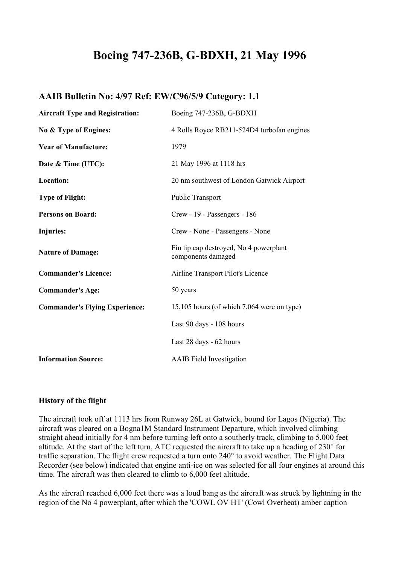# **Boeing 747-236B, G-BDXH, 21 May 1996**

# **AAIB Bulletin No: 4/97 Ref: EW/C96/5/9 Category: 1.1**

| <b>Aircraft Type and Registration:</b> | Boeing 747-236B, G-BDXH                                      |
|----------------------------------------|--------------------------------------------------------------|
| No & Type of Engines:                  | 4 Rolls Royce RB211-524D4 turbofan engines                   |
| <b>Year of Manufacture:</b>            | 1979                                                         |
| Date & Time (UTC):                     | 21 May 1996 at 1118 hrs                                      |
| Location:                              | 20 nm southwest of London Gatwick Airport                    |
| <b>Type of Flight:</b>                 | <b>Public Transport</b>                                      |
| <b>Persons on Board:</b>               | Crew - 19 - Passengers - 186                                 |
| <b>Injuries:</b>                       | Crew - None - Passengers - None                              |
| <b>Nature of Damage:</b>               | Fin tip cap destroyed, No 4 powerplant<br>components damaged |
| <b>Commander's Licence:</b>            | Airline Transport Pilot's Licence                            |
| <b>Commander's Age:</b>                | 50 years                                                     |
| <b>Commander's Flying Experience:</b>  | 15,105 hours (of which 7,064 were on type)                   |
|                                        | Last 90 days - 108 hours                                     |
|                                        | Last 28 days - 62 hours                                      |
| <b>Information Source:</b>             | <b>AAIB</b> Field Investigation                              |

#### **History of the flight**

The aircraft took off at 1113 hrs from Runway 26L at Gatwick, bound for Lagos (Nigeria). The aircraft was cleared on a Bogna1M Standard Instrument Departure, which involved climbing straight ahead initially for 4 nm before turning left onto a southerly track, climbing to 5,000 feet altitude. At the start of the left turn, ATC requested the aircraft to take up a heading of 230° for traffic separation. The flight crew requested a turn onto 240° to avoid weather. The Flight Data Recorder (see below) indicated that engine anti-ice on was selected for all four engines at around this time. The aircraft was then cleared to climb to 6,000 feet altitude.

As the aircraft reached 6,000 feet there was a loud bang as the aircraft was struck by lightning in the region of the No 4 powerplant, after which the 'COWL OV HT' (Cowl Overheat) amber caption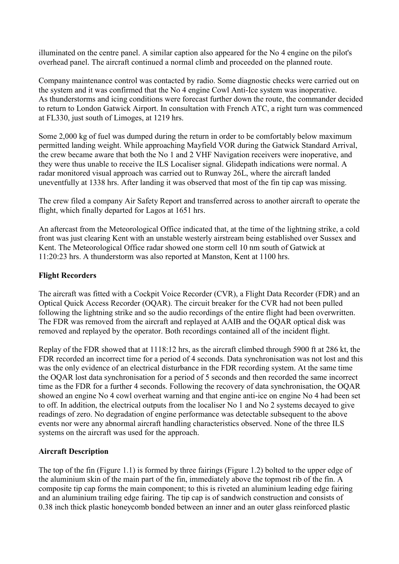illuminated on the centre panel. A similar caption also appeared for the No 4 engine on the pilot's overhead panel. The aircraft continued a normal climb and proceeded on the planned route.

Company maintenance control was contacted by radio. Some diagnostic checks were carried out on the system and it was confirmed that the No 4 engine Cowl Anti-Ice system was inoperative. As thunderstorms and icing conditions were forecast further down the route, the commander decided to return to London Gatwick Airport. In consultation with French ATC, a right turn was commenced at FL330, just south of Limoges, at 1219 hrs.

Some 2,000 kg of fuel was dumped during the return in order to be comfortably below maximum permitted landing weight. While approaching Mayfield VOR during the Gatwick Standard Arrival, the crew became aware that both the No 1 and 2 VHF Navigation receivers were inoperative, and they were thus unable to receive the ILS Localiser signal. Glidepath indications were normal. A radar monitored visual approach was carried out to Runway 26L, where the aircraft landed uneventfully at 1338 hrs. After landing it was observed that most of the fin tip cap was missing.

The crew filed a company Air Safety Report and transferred across to another aircraft to operate the flight, which finally departed for Lagos at 1651 hrs.

An aftercast from the Meteorological Office indicated that, at the time of the lightning strike, a cold front was just clearing Kent with an unstable westerly airstream being established over Sussex and Kent. The Meteorological Office radar showed one storm cell 10 nm south of Gatwick at 11:20:23 hrs. A thunderstorm was also reported at Manston, Kent at 1100 hrs.

# **Flight Recorders**

The aircraft was fitted with a Cockpit Voice Recorder (CVR), a Flight Data Recorder (FDR) and an Optical Quick Access Recorder (OQAR). The circuit breaker for the CVR had not been pulled following the lightning strike and so the audio recordings of the entire flight had been overwritten. The FDR was removed from the aircraft and replayed at AAIB and the OQAR optical disk was removed and replayed by the operator. Both recordings contained all of the incident flight.

Replay of the FDR showed that at 1118:12 hrs, as the aircraft climbed through 5900 ft at 286 kt, the FDR recorded an incorrect time for a period of 4 seconds. Data synchronisation was not lost and this was the only evidence of an electrical disturbance in the FDR recording system. At the same time the OQAR lost data synchronisation for a period of 5 seconds and then recorded the same incorrect time as the FDR for a further 4 seconds. Following the recovery of data synchronisation, the OQAR showed an engine No 4 cowl overheat warning and that engine anti-ice on engine No 4 had been set to off. In addition, the electrical outputs from the localiser No 1 and No 2 systems decayed to give readings of zero. No degradation of engine performance was detectable subsequent to the above events nor were any abnormal aircraft handling characteristics observed. None of the three ILS systems on the aircraft was used for the approach.

#### **Aircraft Description**

The top of the fin (Figure 1.1) is formed by three fairings (Figure 1.2) bolted to the upper edge of the aluminium skin of the main part of the fin, immediately above the topmost rib of the fin. A composite tip cap forms the main component; to this is riveted an aluminium leading edge fairing and an aluminium trailing edge fairing. The tip cap is of sandwich construction and consists of 0.38 inch thick plastic honeycomb bonded between an inner and an outer glass reinforced plastic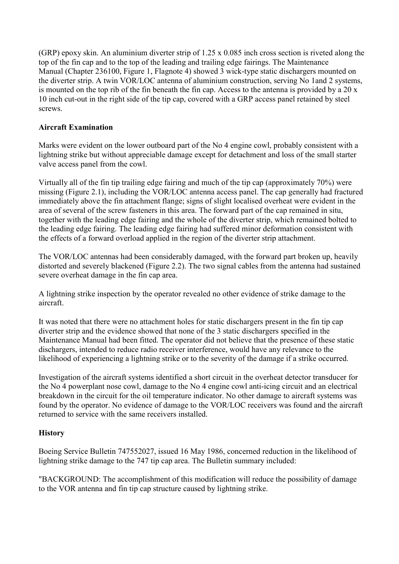(GRP) epoxy skin. An aluminium diverter strip of 1.25 x 0.085 inch cross section is riveted along the top of the fin cap and to the top of the leading and trailing edge fairings. The Maintenance Manual (Chapter 236100, Figure 1, Flagnote 4) showed 3 wick-type static dischargers mounted on the diverter strip. A twin VOR/LOC antenna of aluminium construction, serving No 1and 2 systems, is mounted on the top rib of the fin beneath the fin cap. Access to the antenna is provided by a 20 x 10 inch cut-out in the right side of the tip cap, covered with a GRP access panel retained by steel screws.

# **Aircraft Examination**

Marks were evident on the lower outboard part of the No 4 engine cowl, probably consistent with a lightning strike but without appreciable damage except for detachment and loss of the small starter valve access panel from the cowl.

Virtually all of the fin tip trailing edge fairing and much of the tip cap (approximately 70%) were missing (Figure 2.1), including the VOR/LOC antenna access panel. The cap generally had fractured immediately above the fin attachment flange; signs of slight localised overheat were evident in the area of several of the screw fasteners in this area. The forward part of the cap remained in situ, together with the leading edge fairing and the whole of the diverter strip, which remained bolted to the leading edge fairing. The leading edge fairing had suffered minor deformation consistent with the effects of a forward overload applied in the region of the diverter strip attachment.

The VOR/LOC antennas had been considerably damaged, with the forward part broken up, heavily distorted and severely blackened (Figure 2.2). The two signal cables from the antenna had sustained severe overheat damage in the fin cap area.

A lightning strike inspection by the operator revealed no other evidence of strike damage to the aircraft.

It was noted that there were no attachment holes for static dischargers present in the fin tip cap diverter strip and the evidence showed that none of the 3 static dischargers specified in the Maintenance Manual had been fitted. The operator did not believe that the presence of these static dischargers, intended to reduce radio receiver interference, would have any relevance to the likelihood of experiencing a lightning strike or to the severity of the damage if a strike occurred.

Investigation of the aircraft systems identified a short circuit in the overheat detector transducer for the No 4 powerplant nose cowl, damage to the No 4 engine cowl anti-icing circuit and an electrical breakdown in the circuit for the oil temperature indicator. No other damage to aircraft systems was found by the operator. No evidence of damage to the VOR/LOC receivers was found and the aircraft returned to service with the same receivers installed.

#### **History**

Boeing Service Bulletin 747552027, issued 16 May 1986, concerned reduction in the likelihood of lightning strike damage to the 747 tip cap area. The Bulletin summary included:

"BACKGROUND: The accomplishment of this modification will reduce the possibility of damage to the VOR antenna and fin tip cap structure caused by lightning strike.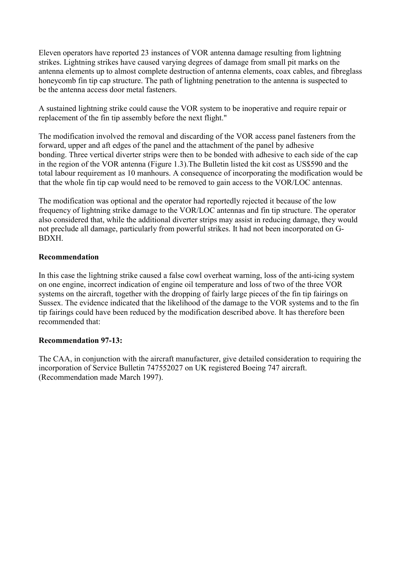Eleven operators have reported 23 instances of VOR antenna damage resulting from lightning strikes. Lightning strikes have caused varying degrees of damage from small pit marks on the antenna elements up to almost complete destruction of antenna elements, coax cables, and fibreglass honeycomb fin tip cap structure. The path of lightning penetration to the antenna is suspected to be the antenna access door metal fasteners.

A sustained lightning strike could cause the VOR system to be inoperative and require repair or replacement of the fin tip assembly before the next flight."

The modification involved the removal and discarding of the VOR access panel fasteners from the forward, upper and aft edges of the panel and the attachment of the panel by adhesive bonding. Three vertical diverter strips were then to be bonded with adhesive to each side of the cap in the region of the VOR antenna (Figure 1.3).The Bulletin listed the kit cost as US\$590 and the total labour requirement as 10 manhours. A consequence of incorporating the modification would be that the whole fin tip cap would need to be removed to gain access to the VOR/LOC antennas.

The modification was optional and the operator had reportedly rejected it because of the low frequency of lightning strike damage to the VOR/LOC antennas and fin tip structure. The operator also considered that, while the additional diverter strips may assist in reducing damage, they would not preclude all damage, particularly from powerful strikes. It had not been incorporated on G-BDXH.

#### **Recommendation**

In this case the lightning strike caused a false cowl overheat warning, loss of the anti-icing system on one engine, incorrect indication of engine oil temperature and loss of two of the three VOR systems on the aircraft, together with the dropping of fairly large pieces of the fin tip fairings on Sussex. The evidence indicated that the likelihood of the damage to the VOR systems and to the fin tip fairings could have been reduced by the modification described above. It has therefore been recommended that:

#### **Recommendation 97-13:**

The CAA, in conjunction with the aircraft manufacturer, give detailed consideration to requiring the incorporation of Service Bulletin 747552027 on UK registered Boeing 747 aircraft. (Recommendation made March 1997).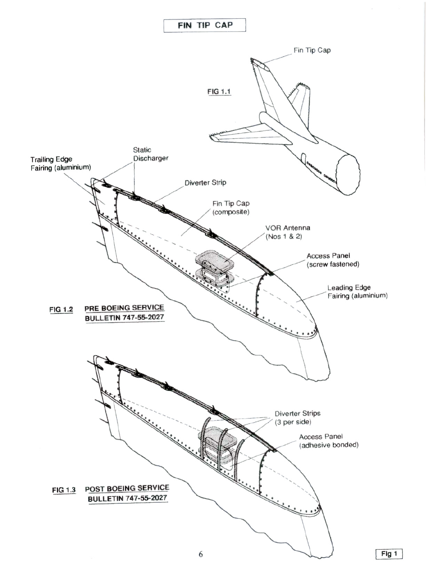